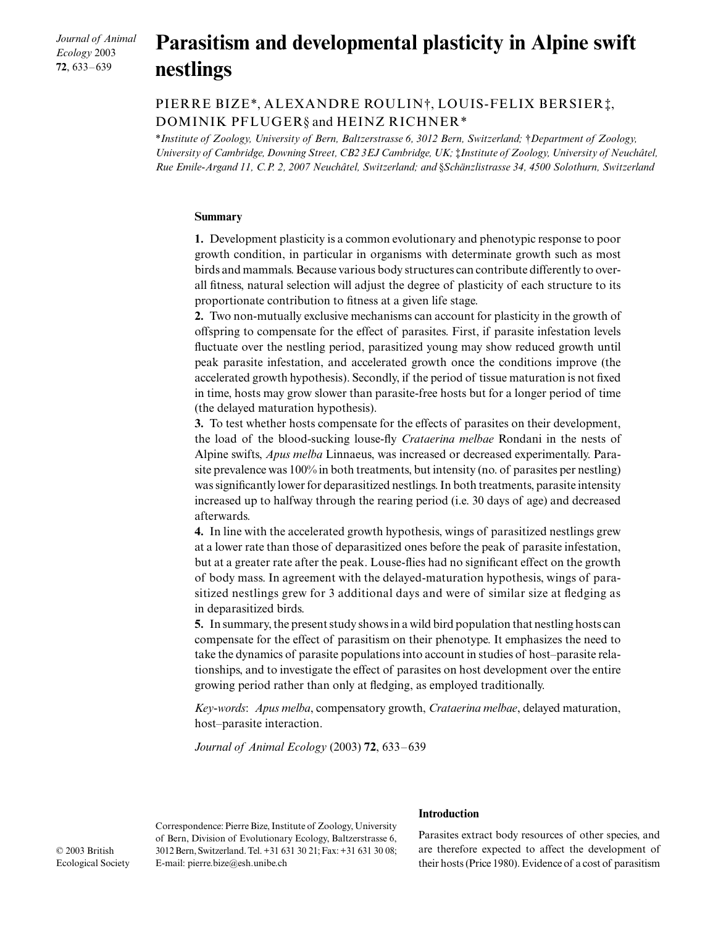*Journal of Animal Ecology* 2003 **72**, 633–639

# Parasitism and developmental plasticity in Alpine swift **nestlings**

# PIERRE BIZE\*, ALEXANDRE ROULIN†, LOUIS-FELIX BERSIER‡, DOMINIK PFLUGER§ and HEINZ RICHNER\*

\**Institute of Zoology, University of Bern, Baltzerstrasse 6, 3012 Bern, Switzerland;* †*Department of Zoology, University of Cambridge, Downing Street, CB2 3EJ Cambridge, UK;* ‡*Institute of Zoology, University of Neuchâtel, Rue Emile-Argand 11, C.P. 2, 2007 Neuchâtel, Switzerland; and* §*Schänzlistrasse 34, 4500 Solothurn, Switzerland* 

# **Summary**

**1.** Development plasticity is a common evolutionary and phenotypic response to poor growth condition, in particular in organisms with determinate growth such as most birds and mammals. Because various body structures can contribute differently to overall fitness, natural selection will adjust the degree of plasticity of each structure to its proportionate contribution to fitness at a given life stage.

**2.** Two non-mutually exclusive mechanisms can account for plasticity in the growth of offspring to compensate for the effect of parasites. First, if parasite infestation levels fluctuate over the nestling period, parasitized young may show reduced growth until peak parasite infestation, and accelerated growth once the conditions improve (the accelerated growth hypothesis). Secondly, if the period of tissue maturation is not fixed in time, hosts may grow slower than parasite-free hosts but for a longer period of time (the delayed maturation hypothesis).

**3.** To test whether hosts compensate for the effects of parasites on their development, the load of the blood-sucking louse-fly *Crataerina melbae* Rondani in the nests of Alpine swifts, *Apus melba* Linnaeus, was increased or decreased experimentally. Parasite prevalence was 100% in both treatments, but intensity (no. of parasites per nestling) was significantly lower for deparasitized nestlings. In both treatments, parasite intensity increased up to halfway through the rearing period (i.e. 30 days of age) and decreased afterwards.

**4.** In line with the accelerated growth hypothesis, wings of parasitized nestlings grew at a lower rate than those of deparasitized ones before the peak of parasite infestation, but at a greater rate after the peak. Louse-flies had no significant effect on the growth of body mass. In agreement with the delayed-maturation hypothesis, wings of parasitized nestlings grew for 3 additional days and were of similar size at fledging as in deparasitized birds.

**5.** In summary, the present study shows in a wild bird population that nestling hosts can compensate for the effect of parasitism on their phenotype. It emphasizes the need to take the dynamics of parasite populations into account in studies of host–parasite relationships, and to investigate the effect of parasites on host development over the entire growing period rather than only at fledging, as employed traditionally.

*Key-words*: *Apus melba*, compensatory growth, *Crataerina melbae*, delayed maturation, host–parasite interaction.

*Journal of Animal Ecology* (2003) **72**, 633–639

Correspondence: Pierre Bize, Institute of Zoology, University of Bern, Division of Evolutionary Ecology, Baltzerstrasse 6, 3012 Bern, Switzerland. Tel. +31 631 30 21; Fax: +31 631 30 08; E-mail: pierre.bize@esh.unibe.ch

#### **Introduction**

Parasites extract body resources of other species, and are therefore expected to affect the development of their hosts (Price 1980). Evidence of a cost of parasitism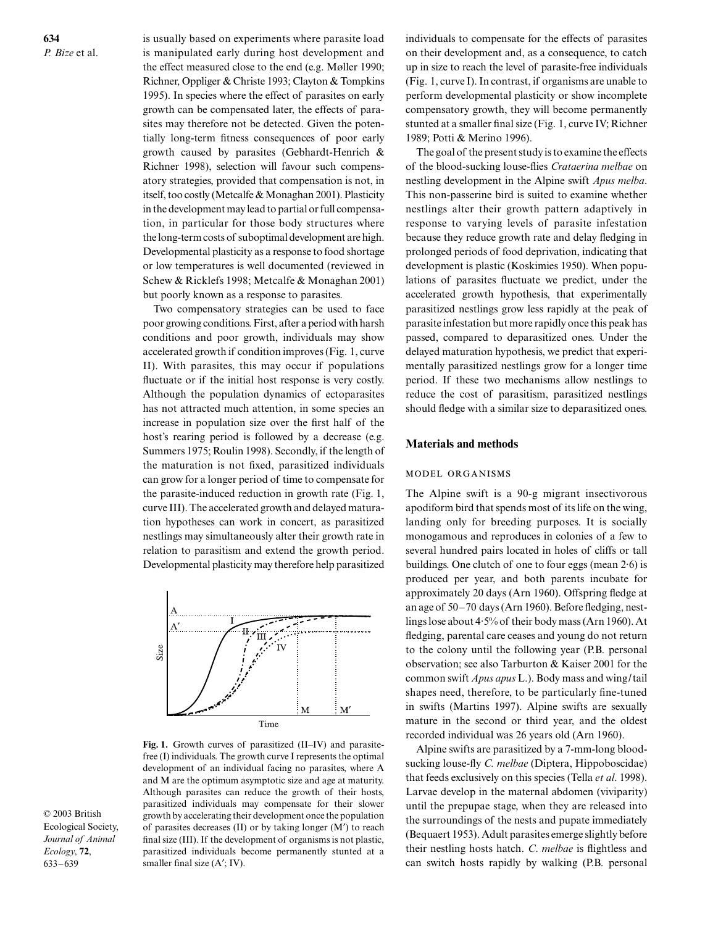is usually based on experiments where parasite load is manipulated early during host development and the effect measured close to the end (e.g. Møller 1990; Richner, Oppliger & Christe 1993; Clayton & Tompkins 1995). In species where the effect of parasites on early growth can be compensated later, the effects of parasites may therefore not be detected. Given the potentially long-term fitness consequences of poor early growth caused by parasites (Gebhardt-Henrich & Richner 1998), selection will favour such compensatory strategies, provided that compensation is not, in itself, too costly (Metcalfe & Monaghan 2001). Plasticity in the development may lead to partial or full compensation, in particular for those body structures where the long-term costs of suboptimal development are high. Developmental plasticity as a response to food shortage or low temperatures is well documented (reviewed in Schew & Ricklefs 1998; Metcalfe & Monaghan 2001) but poorly known as a response to parasites.

Two compensatory strategies can be used to face poor growing conditions. First, after a period with harsh conditions and poor growth, individuals may show accelerated growth if condition improves (Fig. 1, curve II). With parasites, this may occur if populations fluctuate or if the initial host response is very costly. Although the population dynamics of ectoparasites has not attracted much attention, in some species an increase in population size over the first half of the host's rearing period is followed by a decrease (e.g. Summers 1975; Roulin 1998). Secondly, if the length of the maturation is not fixed, parasitized individuals can grow for a longer period of time to compensate for the parasite-induced reduction in growth rate (Fig. 1, curve III). The accelerated growth and delayed maturation hypotheses can work in concert, as parasitized nestlings may simultaneously alter their growth rate in relation to parasitism and extend the growth period. Developmental plasticity may therefore help parasitized



**Fig. 1.** Growth curves of parasitized (II–IV) and parasitefree (I) individuals. The growth curve I represents the optimal development of an individual facing no parasites, where A and M are the optimum asymptotic size and age at maturity. Although parasites can reduce the growth of their hosts, parasitized individuals may compensate for their slower growth by accelerating their development once the population of parasites decreases (II) or by taking longer (M′) to reach final size (III). If the development of organisms is not plastic, parasitized individuals become permanently stunted at a smaller final size (A'; IV).

© 2003 British Ecological Society, *Journal of Animal* 

*Ecology*, **72**, 633–639

individuals to compensate for the effects of parasites on their development and, as a consequence, to catch up in size to reach the level of parasite-free individuals (Fig. 1, curve I). In contrast, if organisms are unable to perform developmental plasticity or show incomplete compensatory growth, they will become permanently stunted at a smaller final size (Fig. 1, curve IV; Richner 1989; Potti & Merino 1996).

The goal of the present study is to examine the effects of the blood-sucking louse-flies *Crataerina melbae* on nestling development in the Alpine swift *Apus melba*. This non-passerine bird is suited to examine whether nestlings alter their growth pattern adaptively in response to varying levels of parasite infestation because they reduce growth rate and delay fledging in prolonged periods of food deprivation, indicating that development is plastic (Koskimies 1950). When populations of parasites fluctuate we predict, under the accelerated growth hypothesis, that experimentally parasitized nestlings grow less rapidly at the peak of parasite infestation but more rapidly once this peak has passed, compared to deparasitized ones. Under the delayed maturation hypothesis, we predict that experimentally parasitized nestlings grow for a longer time period. If these two mechanisms allow nestlings to reduce the cost of parasitism, parasitized nestlings should fledge with a similar size to deparasitized ones.

#### **Materials and methods**

#### MODEL ORGANISMS

The Alpine swift is a 90-g migrant insectivorous apodiform bird that spends most of its life on the wing, landing only for breeding purposes. It is socially monogamous and reproduces in colonies of a few to several hundred pairs located in holes of cliffs or tall buildings. One clutch of one to four eggs (mean 2·6) is produced per year, and both parents incubate for approximately 20 days (Arn 1960). Offspring fledge at an age of 50–70 days (Arn 1960). Before fledging, nestlings lose about 4·5% of their body mass (Arn 1960). At fledging, parental care ceases and young do not return to the colony until the following year (P.B. personal observation; see also Tarburton & Kaiser 2001 for the common swift *Apus apus* L.). Body mass and wing/tail shapes need, therefore, to be particularly fine-tuned in swifts (Martins 1997). Alpine swifts are sexually mature in the second or third year, and the oldest recorded individual was 26 years old (Arn 1960).

Alpine swifts are parasitized by a 7-mm-long bloodsucking louse-fly *C. melbae* (Diptera, Hippoboscidae) that feeds exclusively on this species (Tella *et al*. 1998). Larvae develop in the maternal abdomen (viviparity) until the prepupae stage, when they are released into the surroundings of the nests and pupate immediately (Bequaert 1953). Adult parasites emerge slightly before their nestling hosts hatch. *C*. *melbae* is flightless and can switch hosts rapidly by walking (P.B. personal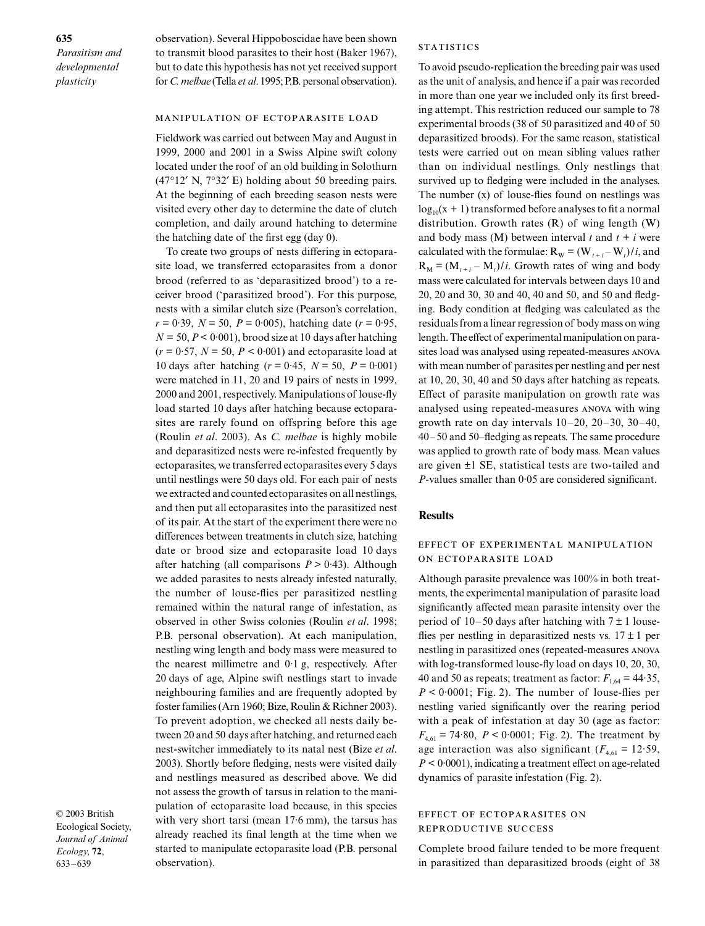observation). Several Hippoboscidae have been shown to transmit blood parasites to their host (Baker 1967), but to date this hypothesis has not yet received support for *C.melbae* (Tella *et al*. 1995; P.B. personal observation).

# MANIPULATION OF ECTOPARASITE LOAD

Fieldwork was carried out between May and August in 1999, 2000 and 2001 in a Swiss Alpine swift colony located under the roof of an old building in Solothurn (47°12′ N, 7°32′ E) holding about 50 breeding pairs. At the beginning of each breeding season nests were visited every other day to determine the date of clutch completion, and daily around hatching to determine the hatching date of the first egg (day 0).

To create two groups of nests differing in ectoparasite load, we transferred ectoparasites from a donor brood (referred to as 'deparasitized brood') to a receiver brood ('parasitized brood'). For this purpose, nests with a similar clutch size (Pearson's correlation,  $r = 0.39$ ,  $N = 50$ ,  $P = 0.005$ ), hatching date ( $r = 0.95$ ,  $N = 50, P < 0.001$ , brood size at 10 days after hatching  $(r = 0.57, N = 50, P < 0.001)$  and ectoparasite load at 10 days after hatching (*r* = 0·45, *N* = 50, *P* = 0·001) were matched in 11, 20 and 19 pairs of nests in 1999, 2000 and 2001, respectively. Manipulations of louse-fly load started 10 days after hatching because ectoparasites are rarely found on offspring before this age (Roulin *et al*. 2003). As *C. melbae* is highly mobile and deparasitized nests were re-infested frequently by ectoparasites, we transferred ectoparasites every 5 days until nestlings were 50 days old. For each pair of nests we extracted and counted ectoparasites on all nestlings, and then put all ectoparasites into the parasitized nest of its pair. At the start of the experiment there were no differences between treatments in clutch size, hatching date or brood size and ectoparasite load 10 days after hatching (all comparisons  $P > 0.43$ ). Although we added parasites to nests already infested naturally, the number of louse-flies per parasitized nestling remained within the natural range of infestation, as observed in other Swiss colonies (Roulin *et al*. 1998; P.B. personal observation). At each manipulation, nestling wing length and body mass were measured to the nearest millimetre and 0·1 g, respectively. After 20 days of age, Alpine swift nestlings start to invade neighbouring families and are frequently adopted by foster families (Arn 1960; Bize, Roulin & Richner 2003). To prevent adoption, we checked all nests daily between 20 and 50 days after hatching, and returned each nest-switcher immediately to its natal nest (Bize *et al*. 2003). Shortly before fledging, nests were visited daily and nestlings measured as described above. We did not assess the growth of tarsus in relation to the manipulation of ectoparasite load because, in this species with very short tarsi (mean 17·6 mm), the tarsus has already reached its final length at the time when we started to manipulate ectoparasite load (P.B. personal observation).

© 2003 British Ecological Society, *Journal of Animal Ecology*, **72**, 633–639

#### **STATISTICS**

To avoid pseudo-replication the breeding pair was used as the unit of analysis, and hence if a pair was recorded in more than one year we included only its first breeding attempt. This restriction reduced our sample to 78 experimental broods (38 of 50 parasitized and 40 of 50 deparasitized broods). For the same reason, statistical tests were carried out on mean sibling values rather than on individual nestlings. Only nestlings that survived up to fledging were included in the analyses. The number (x) of louse-flies found on nestlings was  $log_{10}(x + 1)$  transformed before analyses to fit a normal distribution. Growth rates (R) of wing length (W) and body mass (M) between interval  $t$  and  $t + i$  were calculated with the formulae:  $R_w = (W_{t+i} - W_t)/i$ , and  $R_M = (M_{t+i} - M_t)/i$ . Growth rates of wing and body mass were calculated for intervals between days 10 and 20, 20 and 30, 30 and 40, 40 and 50, and 50 and fledging. Body condition at fledging was calculated as the residuals from a linear regression of body mass on wing length. The effect of experimental manipulation on parasites load was analysed using repeated-measures with mean number of parasites per nestling and per nest at 10, 20, 30, 40 and 50 days after hatching as repeats. Effect of parasite manipulation on growth rate was analysed using repeated-measures ANOVA with wing growth rate on day intervals 10–20, 20–30, 30–40, 40–50 and 50–fledging as repeats. The same procedure was applied to growth rate of body mass. Mean values are given ±1 SE, statistical tests are two-tailed and *P*-values smaller than 0·05 are considered significant.

#### **Results**

# EFFECT OF EXPERIMENTAL MANIPULATION ON ECTOPARASITE LOAD

Although parasite prevalence was 100% in both treatments, the experimental manipulation of parasite load significantly affected mean parasite intensity over the period of 10–50 days after hatching with  $7 \pm 1$  louseflies per nestling in deparasitized nests vs.  $17 \pm 1$  per nestling in parasitized ones (repeated-measures with log-transformed louse-fly load on days 10, 20, 30, 40 and 50 as repeats; treatment as factor:  $F_{1,64} = 44.35$ ,  $P < 0.0001$ ; Fig. 2). The number of louse-flies per nestling varied significantly over the rearing period with a peak of infestation at day 30 (age as factor:  $F_{4,61}$  = 74·80,  $P < 0.0001$ ; Fig. 2). The treatment by age interaction was also significant  $(F_{4,61} = 12.59)$ , *P* < 0·0001), indicating a treatment effect on age-related dynamics of parasite infestation (Fig. 2).

#### EFFECT OF ECTOPARASITES ON REPRODUCTIVE SUCCESS

Complete brood failure tended to be more frequent in parasitized than deparasitized broods (eight of 38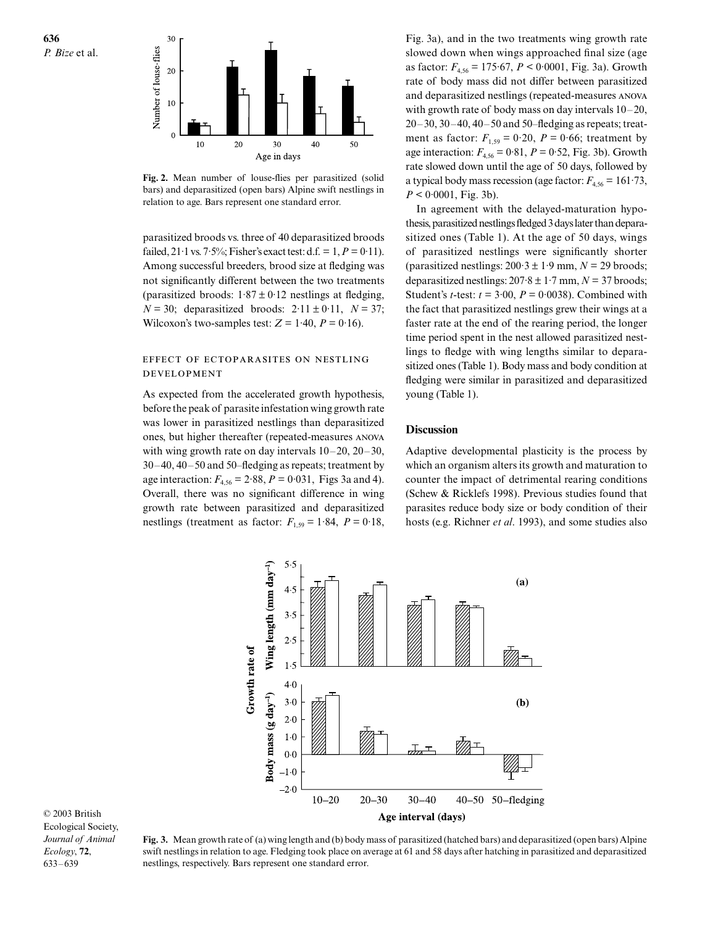**636** *P. Bize* et al.



**Fig. 2.** Mean number of louse-flies per parasitized (solid bars) and deparasitized (open bars) Alpine swift nestlings in relation to age. Bars represent one standard error.

parasitized broods vs. three of 40 deparasitized broods failed, 21·1 vs. 7·5%; Fisher's exact test: d.f. =  $1, P = 0.11$ ). Among successful breeders, brood size at fledging was not significantly different between the two treatments (parasitized broods:  $1.87 \pm 0.12$  nestlings at fledging, *N* = 30; deparasitized broods:  $2.11 \pm 0.11$ , *N* = 37; Wilcoxon's two-samples test:  $Z = 1.40$ ,  $P = 0.16$ ).

# EFFECT OF ECTOPARASITES ON NESTLING **DEVELOPMENT**

As expected from the accelerated growth hypothesis, before the peak of parasite infestation wing growth rate was lower in parasitized nestlings than deparasitized ones, but higher thereafter (repeated-measures with wing growth rate on day intervals 10–20, 20–30, 30–40, 40–50 and 50–fledging as repeats; treatment by age interaction:  $F_{4,56} = 2.88$ ,  $P = 0.031$ , Figs 3a and 4). Overall, there was no significant difference in wing growth rate between parasitized and deparasitized nestlings (treatment as factor:  $F_{1,59} = 1.84$ ,  $P = 0.18$ ,

Fig. 3a), and in the two treatments wing growth rate slowed down when wings approached final size (age as factor: *F*4,56 = 175·67, *P* < 0·0001, Fig. 3a). Growth rate of body mass did not differ between parasitized and deparasitized nestlings (repeated-measures with growth rate of body mass on day intervals 10–20, 20–30, 30–40, 40–50 and 50–fledging as repeats; treatment as factor:  $F_{1,59} = 0.20$ ,  $P = 0.66$ ; treatment by age interaction:  $F_{4,56} = 0.81$ ,  $P = 0.52$ , Fig. 3b). Growth rate slowed down until the age of 50 days, followed by a typical body mass recession (age factor:  $F_{4,56} = 161.73$ ,  $P < 0.0001$ , Fig. 3b).

In agreement with the delayed-maturation hypothesis, parasitized nestlings fledged 3 days later than deparasitized ones (Table 1). At the age of 50 days, wings of parasitized nestlings were significantly shorter (parasitized nestlings:  $200.3 \pm 1.9$  mm,  $N = 29$  broods; deparasitized nestlings:  $207.8 \pm 1.7$  mm,  $N = 37$  broods; Student's *t*-test:  $t = 3.00$ ,  $P = 0.0038$ ). Combined with the fact that parasitized nestlings grew their wings at a faster rate at the end of the rearing period, the longer time period spent in the nest allowed parasitized nestlings to fledge with wing lengths similar to deparasitized ones (Table 1). Body mass and body condition at fledging were similar in parasitized and deparasitized young (Table 1).

# **Discussion**

Adaptive developmental plasticity is the process by which an organism alters its growth and maturation to counter the impact of detrimental rearing conditions (Schew & Ricklefs 1998). Previous studies found that parasites reduce body size or body condition of their hosts (e.g. Richner *et al*. 1993), and some studies also



© 2003 British Ecological Society, *Journal of Animal Ecology*, **72**, 633–639

**Fig. 3.** Mean growth rate of (a) wing length and (b) body mass of parasitized (hatched bars) and deparasitized (open bars) Alpine swift nestlings in relation to age. Fledging took place on average at 61 and 58 days after hatching in parasitized and deparasitized nestlings, respectively. Bars represent one standard error.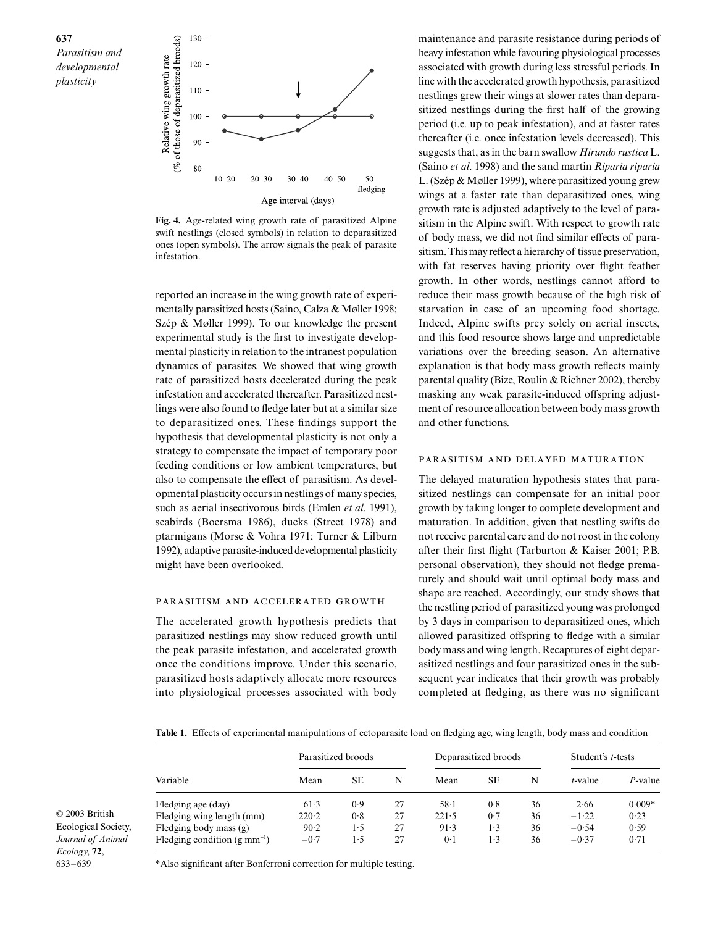**637** *Parasitism and developmental plasticity*



**Fig. 4.** Age-related wing growth rate of parasitized Alpine swift nestlings (closed symbols) in relation to deparasitized ones (open symbols). The arrow signals the peak of parasite infestation.

reported an increase in the wing growth rate of experimentally parasitized hosts (Saino, Calza & Møller 1998; Szép & Møller 1999). To our knowledge the present experimental study is the first to investigate developmental plasticity in relation to the intranest population dynamics of parasites. We showed that wing growth rate of parasitized hosts decelerated during the peak infestation and accelerated thereafter. Parasitized nestlings were also found to fledge later but at a similar size to deparasitized ones. These findings support the hypothesis that developmental plasticity is not only a strategy to compensate the impact of temporary poor feeding conditions or low ambient temperatures, but also to compensate the effect of parasitism. As developmental plasticity occurs in nestlings of many species, such as aerial insectivorous birds (Emlen *et al*. 1991), seabirds (Boersma 1986), ducks (Street 1978) and ptarmigans (Morse & Vohra 1971; Turner & Lilburn 1992), adaptive parasite-induced developmental plasticity might have been overlooked.

#### PARASITISM AND ACCELERATED GROWTH

The accelerated growth hypothesis predicts that parasitized nestlings may show reduced growth until the peak parasite infestation, and accelerated growth once the conditions improve. Under this scenario, parasitized hosts adaptively allocate more resources into physiological processes associated with body

maintenance and parasite resistance during periods of heavy infestation while favouring physiological processes associated with growth during less stressful periods. In line with the accelerated growth hypothesis, parasitized nestlings grew their wings at slower rates than deparasitized nestlings during the first half of the growing period (i.e. up to peak infestation), and at faster rates thereafter (i.e. once infestation levels decreased). This suggests that, as in the barn swallow *Hirundo rustica* L. (Saino *et al*. 1998) and the sand martin *Riparia riparia* L. (Szép & Møller 1999), where parasitized young grew wings at a faster rate than deparasitized ones, wing growth rate is adjusted adaptively to the level of parasitism in the Alpine swift. With respect to growth rate of body mass, we did not find similar effects of parasitism. This may reflect a hierarchy of tissue preservation, with fat reserves having priority over flight feather growth. In other words, nestlings cannot afford to reduce their mass growth because of the high risk of starvation in case of an upcoming food shortage. Indeed, Alpine swifts prey solely on aerial insects, and this food resource shows large and unpredictable variations over the breeding season. An alternative explanation is that body mass growth reflects mainly parental quality (Bize, Roulin & Richner 2002), thereby masking any weak parasite-induced offspring adjustment of resource allocation between body mass growth and other functions.

# PARASITISM AND DELAYED MATURATION

The delayed maturation hypothesis states that parasitized nestlings can compensate for an initial poor growth by taking longer to complete development and maturation. In addition, given that nestling swifts do not receive parental care and do not roost in the colony after their first flight (Tarburton & Kaiser 2001; P.B. personal observation), they should not fledge prematurely and should wait until optimal body mass and shape are reached. Accordingly, our study shows that the nestling period of parasitized young was prolonged by 3 days in comparison to deparasitized ones, which allowed parasitized offspring to fledge with a similar body mass and wing length. Recaptures of eight deparasitized nestlings and four parasitized ones in the subsequent year indicates that their growth was probably completed at fledging, as there was no significant

**Table 1.** Effects of experimental manipulations of ectoparasite load on fledging age, wing length, body mass and condition

| Variable                                 | Parasitized broods |     |    | Deparasitized broods |     |    | Student's <i>t</i> -tests |          |
|------------------------------------------|--------------------|-----|----|----------------------|-----|----|---------------------------|----------|
|                                          | Mean               | SЕ  | N  | Mean                 | SЕ  | N  | $t$ -value                | P-value  |
| Fledging age (day)                       | 61.3               | 0.9 | 27 | $58-1$               | 0.8 | 36 | 2.66                      | $0.009*$ |
| Fledging wing length (mm)                | 220.2              | 0.8 | 27 | 221.5                | 0.7 | 36 | $-1.22$                   | 0.23     |
| Fledging body mass (g)                   | 90.2               | 1.5 | 27 | 91.3                 | 1.3 | 36 | $-0.54$                   | 0.59     |
| Fledging condition $(g \text{ mm}^{-1})$ | $-0.7$             | 1.5 | 27 | 0 <sup>1</sup>       | 1.3 | 36 | $-0.37$                   | 0.71     |

© 2003 British Ecological Society, *Journal of Animal Ecology*, **72**, 633–639

\*Also significant after Bonferroni correction for multiple testing.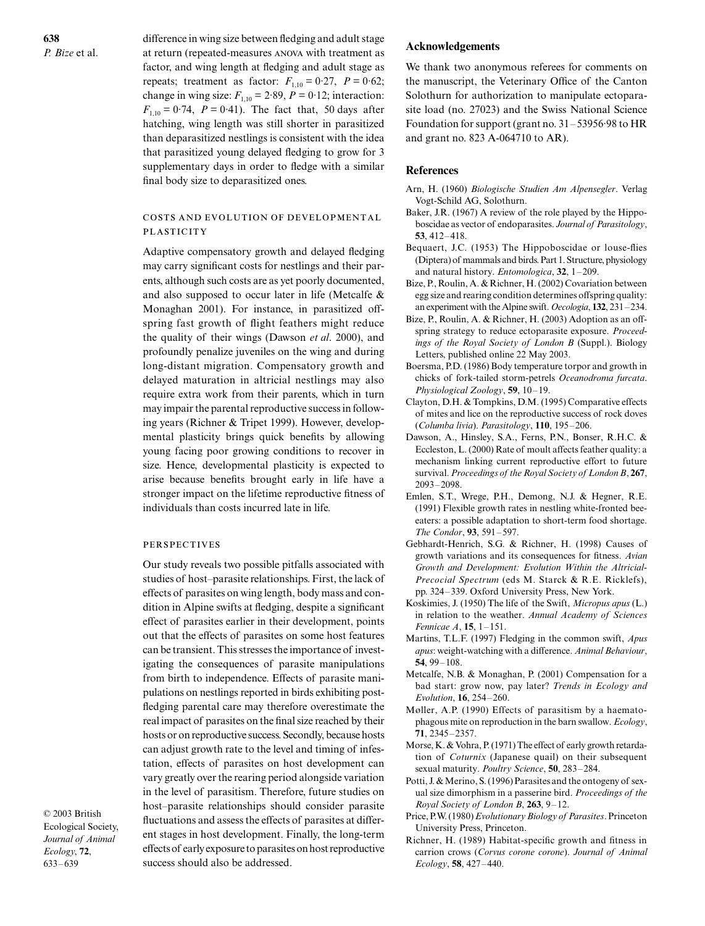difference in wing size between fledging and adult stage at return (repeated-measures ANOVA with treatment as factor, and wing length at fledging and adult stage as repeats; treatment as factor:  $F_{1,10} = 0.27$ ,  $P = 0.62$ ; change in wing size:  $F_{1,10} = 2.89$ ,  $P = 0.12$ ; interaction:  $F_{1,10} = 0.74$ ,  $P = 0.41$ ). The fact that, 50 days after hatching, wing length was still shorter in parasitized than deparasitized nestlings is consistent with the idea that parasitized young delayed fledging to grow for 3 supplementary days in order to fledge with a similar final body size to deparasitized ones.

# COSTS AND EVOLUTION OF DEVELOPMENTAL **PLASTICITY**

Adaptive compensatory growth and delayed fledging may carry significant costs for nestlings and their parents, although such costs are as yet poorly documented, and also supposed to occur later in life (Metcalfe & Monaghan 2001). For instance, in parasitized offspring fast growth of flight feathers might reduce the quality of their wings (Dawson *et al*. 2000), and profoundly penalize juveniles on the wing and during long-distant migration. Compensatory growth and delayed maturation in altricial nestlings may also require extra work from their parents, which in turn may impair the parental reproductive success in following years (Richner & Tripet 1999). However, developmental plasticity brings quick benefits by allowing young facing poor growing conditions to recover in size. Hence, developmental plasticity is expected to arise because benefits brought early in life have a stronger impact on the lifetime reproductive fitness of individuals than costs incurred late in life.

#### **PERSPECTIVES**

Our study reveals two possible pitfalls associated with studies of host–parasite relationships. First, the lack of effects of parasites on wing length, body mass and condition in Alpine swifts at fledging, despite a significant effect of parasites earlier in their development, points out that the effects of parasites on some host features can be transient. This stresses the importance of investigating the consequences of parasite manipulations from birth to independence. Effects of parasite manipulations on nestlings reported in birds exhibiting postfledging parental care may therefore overestimate the real impact of parasites on the final size reached by their hosts or on reproductive success. Secondly, because hosts can adjust growth rate to the level and timing of infestation, effects of parasites on host development can vary greatly over the rearing period alongside variation in the level of parasitism. Therefore, future studies on host–parasite relationships should consider parasite fluctuations and assess the effects of parasites at different stages in host development. Finally, the long-term effects of early exposure to parasites on host reproductive success should also be addressed.

© 2003 British Ecological Society, *Journal of Animal Ecology*, **72**, 633–639

#### **Acknowledgements**

We thank two anonymous referees for comments on the manuscript, the Veterinary Office of the Canton Solothurn for authorization to manipulate ectoparasite load (no. 27023) and the Swiss National Science Foundation for support (grant no. 31–53956·98 to HR and grant no. 823 A-064710 to AR).

#### **References**

- Arn, H. (1960) *Biologische Studien Am Alpensegler*. Verlag Vogt-Schild AG, Solothurn.
- Baker, J.R. (1967) A review of the role played by the Hippoboscidae as vector of endoparasites. *Journal of Parasitology*, **53**, 412–418.
- Bequaert, J.C. (1953) The Hippoboscidae or louse-flies (Diptera) of mammals and birds. Part 1. Structure, physiology and natural history. *Entomologica*, **32**, 1–209.
- Bize, P., Roulin, A. & Richner, H. (2002) Covariation between egg size and rearing condition determines offspring quality: an experiment with the Alpine swift. *Oecologia*, **132**, 231–234.
- Bize, P., Roulin, A. & Richner, H. (2003) Adoption as an offspring strategy to reduce ectoparasite exposure. *Proceedings of the Royal Society of London B* (Suppl.). Biology Letters, published online 22 May 2003.
- Boersma, P.D. (1986) Body temperature torpor and growth in chicks of fork-tailed storm-petrels *Oceanodroma furcata*. *Physiological Zoology*, **59**, 10–19.
- Clayton, D.H. & Tompkins, D.M. (1995) Comparative effects of mites and lice on the reproductive success of rock doves (*Columba livia*). *Parasitology*, **110**, 195–206.
- Dawson, A., Hinsley, S.A., Ferns, P.N., Bonser, R.H.C. & Eccleston, L. (2000) Rate of moult affects feather quality: a mechanism linking current reproductive effort to future survival. *Proceedings of the Royal Society of London B*, **267**, 2093–2098.
- Emlen, S.T., Wrege, P.H., Demong, N.J. & Hegner, R.E. (1991) Flexible growth rates in nestling white-fronted beeeaters: a possible adaptation to short-term food shortage. *The Condor*, **93**, 591–597.
- Gebhardt-Henrich, S.G. & Richner, H. (1998) Causes of growth variations and its consequences for fitness. *Avian Growth and Development: Evolution Within the Altricial-Precocial Spectrum* (eds M. Starck & R.E. Ricklefs), pp. 324–339. Oxford University Press, New York.
- Koskimies, J. (1950) The life of the Swift, *Micropus apus* (L.) in relation to the weather. *Annual Academy of Sciences Fennicae A*, **15**, 1–151.
- Martins, T.L.F. (1997) Fledging in the common swift, *Apus apus*: weight-watching with a difference. *Animal Behaviour*, **54**, 99–108.
- Metcalfe, N.B. & Monaghan, P. (2001) Compensation for a bad start: grow now, pay later? *Trends in Ecology and Evolution*, **16**, 254–260.
- Møller, A.P. (1990) Effects of parasitism by a haematophagous mite on reproduction in the barn swallow. *Ecology*, **71**, 2345–2357.
- Morse, K. & Vohra, P. (1971) The effect of early growth retardation of *Coturnix* (Japanese quail) on their subsequent sexual maturity. *Poultry Science*, **50**, 283–284.
- Potti, J. & Merino, S. (1996) Parasites and the ontogeny of sexual size dimorphism in a passerine bird. *Proceedings of the Royal Society of London B*, **263**, 9–12.
- Price, P.W. (1980) *Evolutionary Biology of Parasites*. Princeton University Press, Princeton.
- Richner, H. (1989) Habitat-specific growth and fitness in carrion crows (*Corvus corone corone*). *Journal of Animal Ecology*, **58**, 427–440.